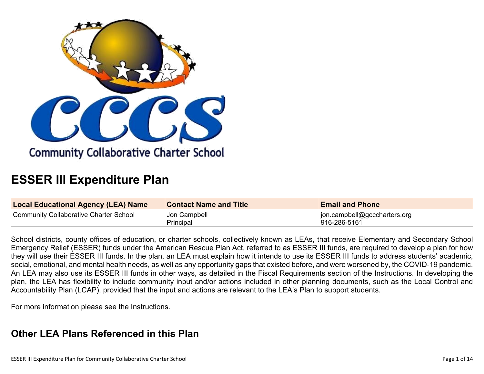

# **ESSER III Expenditure Plan**

| <b>Local Educational Agency (LEA) Name</b> | <b>Contact Name and Title</b> | <b>Email and Phone</b>       |
|--------------------------------------------|-------------------------------|------------------------------|
| Community Collaborative Charter School     | Jon Campbell                  | jon.campbell@gcccharters.org |
|                                            | Principal                     | 916-286-5161                 |

School districts, county offices of education, or charter schools, collectively known as LEAs, that receive Elementary and Secondary School Emergency Relief (ESSER) funds under the American Rescue Plan Act, referred to as ESSER III funds, are required to develop a plan for how they will use their ESSER III funds. In the plan, an LEA must explain how it intends to use its ESSER III funds to address students' academic, social, emotional, and mental health needs, as well as any opportunity gaps that existed before, and were worsened by, the COVID-19 pandemic. An LEA may also use its ESSER III funds in other ways, as detailed in the Fiscal Requirements section of the Instructions. In developing the plan, the LEA has flexibility to include community input and/or actions included in other planning documents, such as the Local Control and Accountability Plan (LCAP), provided that the input and actions are relevant to the LEA's Plan to support students.

For more information please see the Instructions.

# **Other LEA Plans [Referenced](#page-8-0) in this Plan**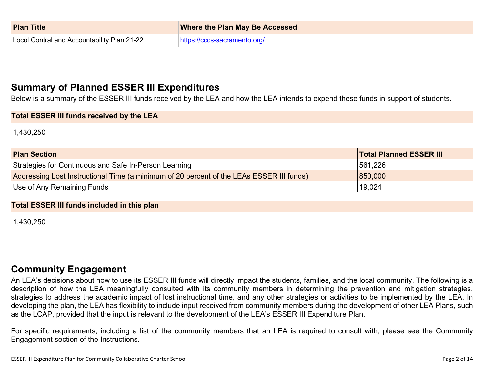| <b>Plan Title</b>                           | <b>Where the Plan May Be Accessed</b> |
|---------------------------------------------|---------------------------------------|
| Locol Contral and Accountability Plan 21-22 | https://cccs-sacramento.org/          |

# **Summary of Planned ESSER III [Expenditures](#page-8-1)**

Below is a summary of the ESSER III funds received by the LEA and how the LEA intends to expend these funds in support of students.

#### **Total ESSER III funds received by the LEA**

1,430,250

| <b>Plan Section</b>                                                                      | <b>Total Planned ESSER III</b> |
|------------------------------------------------------------------------------------------|--------------------------------|
| Strategies for Continuous and Safe In-Person Learning                                    | 561,226                        |
| Addressing Lost Instructional Time (a minimum of 20 percent of the LEAs ESSER III funds) | 850,000                        |
| Use of Any Remaining Funds                                                               | 19,024                         |

#### **Total ESSER III funds included in this plan**

1,430,250

## **Community [Engagement](#page-9-0)**

An LEA's decisions about how to use its ESSER III funds will directly impact the students, families, and the local community. The following is a description of how the LEA meaningfully consulted with its community members in determining the prevention and mitigation strategies, strategies to address the academic impact of lost instructional time, and any other strategies or activities to be implemented by the LEA. In developing the plan, the LEA has flexibility to include input received from community members during the development of other LEA Plans, such as the LCAP, provided that the input is relevant to the development of the LEA's ESSER III Expenditure Plan.

For specific requirements, including a list of the community members that an LEA is required to consult with, please see the Community Engagement section of the Instructions.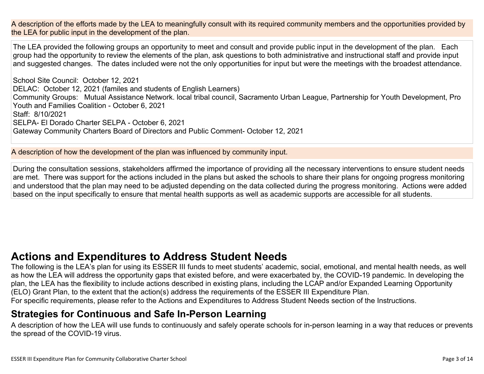A description of the efforts made by the LEA to meaningfully consult with its required community members and the opportunities provided by the LEA for public input in the development of the plan.

The LEA provided the following groups an opportunity to meet and consult and provide public input in the development of the plan. Each group had the opportunity to review the elements of the plan, ask questions to both administrative and instructional staff and provide input and suggested changes. The dates included were not the only opportunities for input but were the meetings with the broadest attendance.

School Site Council: October 12, 2021 DELAC: October 12, 2021 (familes and students of English Learners) Community Groups: Mutual Assistance Network. local tribal council, Sacramento Urban League, Partnership for Youth Development, Pro Youth and Families Coalition - October 6, 2021 Staff: 8/10/2021 SELPA- El Dorado Charter SELPA - October 6, 2021 Gateway Community Charters Board of Directors and Public Comment- October 12, 2021

A description of how the development of the plan was influenced by community input.

During the consultation sessions, stakeholders affirmed the importance of providing all the necessary interventions to ensure student needs are met. There was support for the actions included in the plans but asked the schools to share their plans for ongoing progress monitoring and understood that the plan may need to be adjusted depending on the data collected during the progress monitoring. Actions were added based on the input specifically to ensure that mental health supports as well as academic supports are accessible for all students.

# **Actions and [Expenditures](#page-11-0) to Address Student Needs**

The following is the LEA's plan for using its ESSER III funds to meet students' academic, social, emotional, and mental health needs, as well as how the LEA will address the opportunity gaps that existed before, and were exacerbated by, the COVID-19 pandemic. In developing the plan, the LEA has the flexibility to include actions described in existing plans, including the LCAP and/or Expanded Learning Opportunity (ELO) Grant Plan, to the extent that the action(s) address the requirements of the ESSER III Expenditure Plan. For specific requirements, please refer to the Actions and Expenditures to Address Student Needs section of the Instructions.

## **Strategies for [Continuous](#page-11-1) and Safe In-Person Learning**

A description of how the LEA will use funds to continuously and safely operate schools for in-person learning in a way that reduces or prevents the spread of the COVID-19 virus.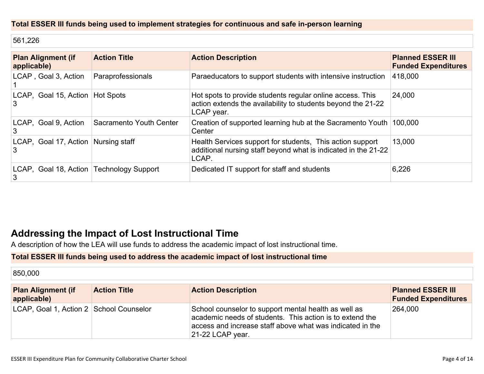### **Total ESSER III funds being used to implement strategies for continuous and safe in-person learning**

561,226

| <b>Plan Alignment (if</b><br>applicable)        | <b>Action Title</b>     | <b>Action Description</b>                                                                                                               | <b>Planned ESSER III</b><br><b>Funded Expenditures</b> |
|-------------------------------------------------|-------------------------|-----------------------------------------------------------------------------------------------------------------------------------------|--------------------------------------------------------|
| LCAP, Goal 3, Action                            | Paraprofessionals       | Paraeducators to support students with intensive instruction                                                                            | 418,000                                                |
| LCAP, Goal 15, Action   Hot Spots<br>3          |                         | Hot spots to provide students regular online access. This<br>action extends the availability to students beyond the 21-22<br>LCAP year. | 24,000                                                 |
| LCAP, Goal 9, Action<br>3                       | Sacramento Youth Center | Creation of supported learning hub at the Sacramento Youth 100,000<br>Center                                                            |                                                        |
| LCAP, Goal 17, Action Nursing staff<br>3        |                         | Health Services support for students, This action support<br>additional nursing staff beyond what is indicated in the 21-22<br>LCAP.    | 13,000                                                 |
| LCAP, Goal 18, Action   Technology Support<br>3 |                         | Dedicated IT support for staff and students                                                                                             | 6,226                                                  |

# **Addressing the Impact of Lost [Instructional](#page-12-0) Tim[e](#page-12-0)**

A description of how the LEA will use funds to address the academic impact of lost instructional time.

#### **Total ESSER III funds being used to address the academic impact of lost instructional time**

| 850,000                                  |                     |                                                                                                                                                                                                   |                                                        |
|------------------------------------------|---------------------|---------------------------------------------------------------------------------------------------------------------------------------------------------------------------------------------------|--------------------------------------------------------|
| <b>Plan Alignment (if</b><br>applicable) | <b>Action Title</b> | <b>Action Description</b>                                                                                                                                                                         | <b>Planned ESSER III</b><br><b>Funded Expenditures</b> |
| LCAP, Goal 1, Action 2 School Counselor  |                     | School counselor to support mental health as well as<br>academic needs of students. This action is to extend the<br>access and increase staff above what was indicated in the<br>21-22 LCAP year. | 264,000                                                |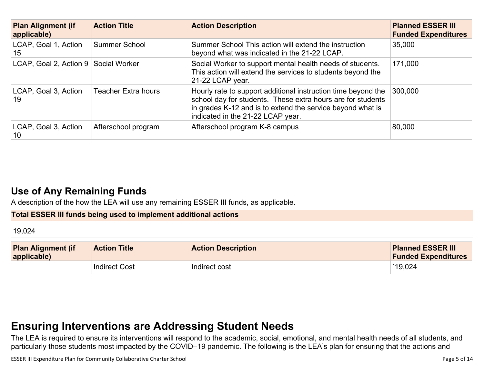| <b>Plan Alignment (if</b><br>applicable) | <b>Action Title</b>        | <b>Action Description</b>                                                                                                                                                                                                       | <b>Planned ESSER III</b><br><b>Funded Expenditures</b> |
|------------------------------------------|----------------------------|---------------------------------------------------------------------------------------------------------------------------------------------------------------------------------------------------------------------------------|--------------------------------------------------------|
| LCAP, Goal 1, Action<br>15               | Summer School              | Summer School This action will extend the instruction<br>beyond what was indicated in the 21-22 LCAP.                                                                                                                           | 35,000                                                 |
| LCAP, Goal 2, Action 9 Social Worker     |                            | Social Worker to support mental health needs of students.<br>This action will extend the services to students beyond the<br>21-22 LCAP year.                                                                                    | 171,000                                                |
| LCAP, Goal 3, Action<br>19               | <b>Teacher Extra hours</b> | Hourly rate to support additional instruction time beyond the<br>school day for students. These extra hours are for students<br>in grades K-12 and is to extend the service beyond what is<br>indicated in the 21-22 LCAP year. | 300,000                                                |
| LCAP, Goal 3, Action<br>10               | Afterschool program        | Afterschool program K-8 campus                                                                                                                                                                                                  | 80,000                                                 |

# **Use of Any [Remaining](#page-12-1) Fund[s](#page-12-1)**

A description of the how the LEA will use any remaining ESSER III funds, as applicable.

### **Total ESSER III funds being used to implement additional actions**

| 19,024                                   |                     |                           |                                                        |
|------------------------------------------|---------------------|---------------------------|--------------------------------------------------------|
| <b>Plan Alignment (if</b><br>applicable) | <b>Action Title</b> | <b>Action Description</b> | <b>Planned ESSER III</b><br><b>Funded Expenditures</b> |
|                                          | Indirect Cost       | Indirect cost             | 19,024                                                 |

# **Ensuring [Interventions](#page-12-2) are Addressing Student Need[s](#page-12-2)**

The LEA is required to ensure its interventions will respond to the academic, social, emotional, and mental health needs of all students, and particularly those students most impacted by the COVID–19 pandemic. The following is the LEA's plan for ensuring that the actions and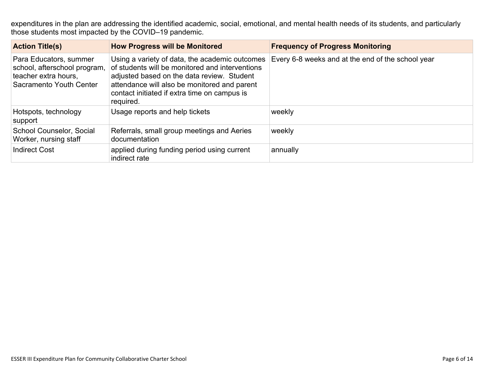expenditures in the plan are addressing the identified academic, social, emotional, and mental health needs of its students, and particularly those students most impacted by the COVID–19 pandemic.

| <b>Action Title(s)</b>                                                                                    | <b>How Progress will be Monitored</b>                                                                                                                                                                                                                        | <b>Frequency of Progress Monitoring</b>           |
|-----------------------------------------------------------------------------------------------------------|--------------------------------------------------------------------------------------------------------------------------------------------------------------------------------------------------------------------------------------------------------------|---------------------------------------------------|
| Para Educators, summer<br>school, afterschool program,<br>teacher extra hours,<br>Sacramento Youth Center | Using a variety of data, the academic outcomes<br>of students will be monitored and interventions<br>adjusted based on the data review. Student<br>attendance will also be monitored and parent<br>contact initiated if extra time on campus is<br>required. | Every 6-8 weeks and at the end of the school year |
| Hotspots, technology<br>support                                                                           | Usage reports and help tickets                                                                                                                                                                                                                               | weekly                                            |
| School Counselor, Social<br>Worker, nursing staff                                                         | Referrals, small group meetings and Aeries<br>documentation                                                                                                                                                                                                  | weekly                                            |
| <b>Indirect Cost</b>                                                                                      | applied during funding period using current<br>indirect rate                                                                                                                                                                                                 | annually                                          |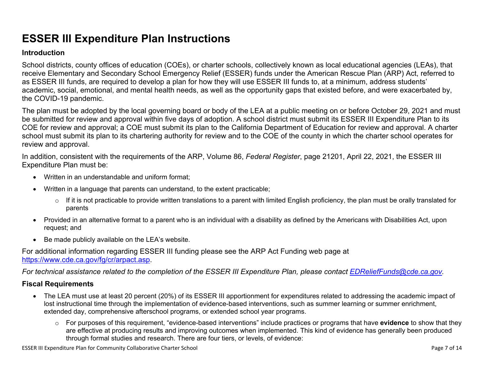# **ESSER III Expenditure Plan Instructions**

#### **Introduction**

School districts, county offices of education (COEs), or charter schools, collectively known as local educational agencies (LEAs), that receive Elementary and Secondary School Emergency Relief (ESSER) funds under the American Rescue Plan (ARP) Act, referred to as ESSER III funds, are required to develop a plan for how they will use ESSER III funds to, at a minimum, address students' academic, social, emotional, and mental health needs, as well as the opportunity gaps that existed before, and were exacerbated by, the COVID-19 pandemic.

The plan must be adopted by the local governing board or body of the LEA at a public meeting on or before October 29, 2021 and must be submitted for review and approval within five days of adoption. A school district must submit its ESSER III Expenditure Plan to its COE for review and approval; a COE must submit its plan to the California Department of Education for review and approval. A charter school must submit its plan to its chartering authority for review and to the COE of the county in which the charter school operates for review and approval.

In addition, consistent with the requirements of the ARP, Volume 86, *Federal Register*, page 21201, April 22, 2021, the ESSER III Expenditure Plan must be:

- Written in an understandable and uniform format;
- Written in a language that parents can understand, to the extent practicable;
	- $\circ$  If it is not practicable to provide written translations to a parent with limited English proficiency, the plan must be orally translated for parents
- Provided in an alternative format to a parent who is an individual with a disability as defined by the Americans with Disabilities Act, upon request; and
- Be made publicly available on the LEA's website.

For additional information regarding ESSER III funding please see the ARP Act Funding web page at <https://www.cde.ca.gov/fg/cr/arpact.asp>.

For technical assistance related to the completion of the ESSER III Expenditure Plan, please contact [EDReliefFunds@cde.ca.gov](mailto:EDReliefFunds@cde.ca.gov).

### **Fiscal Requirements**

- The LEA must use at least 20 percent (20%) of its ESSER III apportionment for expenditures related to addressing the academic impact of lost instructional time through the implementation of evidence-based interventions, such as summer learning or summer enrichment, extended day, comprehensive afterschool programs, or extended school year programs.
	- o For purposes of this requirement, "evidence-based interventions" include practices or programs that have **evidence** to show that they are effective at producing results and improving outcomes when implemented. This kind of evidence has generally been produced through formal studies and research. There are four tiers, or levels, of evidence:

ESSER III Expenditure Plan for Community Collaborative Charter School Page 7 of 14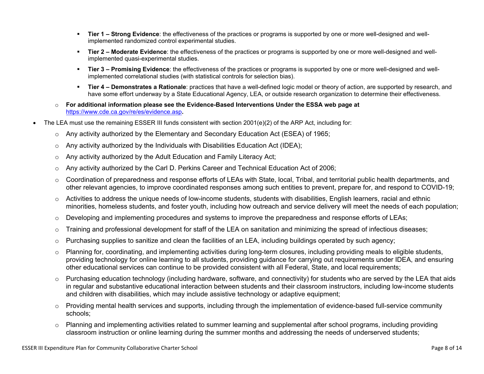- **Tier 1 – Strong Evidence**: the effectiveness of the practices or programs is supported by one or more well-designed and wellimplemented randomized control experimental studies.
- **Tier 2 – Moderate Evidence**: the effectiveness of the practices or programs is supported by one or more well-designed and wellimplemented quasi-experimental studies.
- **Tier 3 – Promising Evidence**: the effectiveness of the practices or programs is supported by one or more well-designed and wellimplemented correlational studies (with statistical controls for selection bias).
- **Tier 4 – Demonstrates a Rationale**: practices that have a well-defined logic model or theory of action, are supported by research, and have some effort underway by a State Educational Agency, LEA, or outside research organization to determine their effectiveness.
- o **For additional information please see the Evidence-Based Interventions Under the ESSA web page at** <https://www.cde.ca.gov/re/es/evidence.asp>**.**
- The LEA must use the remaining ESSER III funds consistent with section 2001(e)(2) of the ARP Act, including for:
	- $\circ$  Any activity authorized by the Elementary and Secondary Education Act (ESEA) of 1965;
	- $\circ$  Any activity authorized by the Individuals with Disabilities Education Act (IDEA);
	- o Any activity authorized by the Adult Education and Family Literacy Act;
	- $\circ$  Any activity authorized by the Carl D. Perkins Career and Technical Education Act of 2006;
	- $\circ$  Coordination of preparedness and response efforts of LEAs with State, local, Tribal, and territorial public health departments, and other relevant agencies, to improve coordinated responses among such entities to prevent, prepare for, and respond to COVID-19;
	- $\circ$  Activities to address the unique needs of low-income students, students with disabilities, English learners, racial and ethnic minorities, homeless students, and foster youth, including how outreach and service delivery will meet the needs of each population;
	- o Developing and implementing procedures and systems to improve the preparedness and response efforts of LEAs;
	- $\circ$  Training and professional development for staff of the LEA on sanitation and minimizing the spread of infectious diseases;
	- $\circ$  Purchasing supplies to sanitize and clean the facilities of an LEA, including buildings operated by such agency;
	- $\circ$  Planning for, coordinating, and implementing activities during long-term closures, including providing meals to eligible students, providing technology for online learning to all students, providing guidance for carrying out requirements under IDEA, and ensuring other educational services can continue to be provided consistent with all Federal, State, and local requirements;
	- $\circ$  Purchasing education technology (including hardware, software, and connectivity) for students who are served by the LEA that aids in regular and substantive educational interaction between students and their classroom instructors, including low-income students and children with disabilities, which may include assistive technology or adaptive equipment;
	- $\circ$  Providing mental health services and supports, including through the implementation of evidence-based full-service community schools;
	- o Planning and implementing activities related to summer learning and supplemental after school programs, including providing classroom instruction or online learning during the summer months and addressing the needs of underserved students;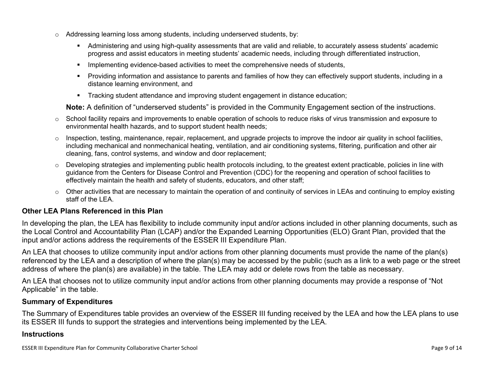- $\circ$  Addressing learning loss among students, including underserved students, by:
	- Administering and using high-quality assessments that are valid and reliable, to accurately assess students' academic progress and assist educators in meeting students' academic needs, including through differentiated instruction,
	- **IMPLEMENTER IMPLEMENT EVALUATE:** Implementing evidence-based activities to meet the comprehensive needs of students,
	- Providing information and assistance to parents and families of how they can effectively support students, including in a distance learning environment, and
	- Tracking student attendance and improving student engagement in distance education;

**Note:** A definition of "underserved students" is provided in the Community Engagement section of the instructions.

- $\circ$  School facility repairs and improvements to enable operation of schools to reduce risks of virus transmission and exposure to environmental health hazards, and to support student health needs;
- $\circ$  Inspection, testing, maintenance, repair, replacement, and upgrade projects to improve the indoor air quality in school facilities, including mechanical and nonmechanical heating, ventilation, and air conditioning systems, filtering, purification and other air cleaning, fans, control systems, and window and door replacement;
- $\circ$  Developing strategies and implementing public health protocols including, to the greatest extent practicable, policies in line with guidance from the Centers for Disease Control and Prevention (CDC) for the reopening and operation of school facilities to effectively maintain the health and safety of students, educators, and other staff;
- $\circ$  Other activities that are necessary to maintain the operation of and continuity of services in LEAs and continuing to employ existing staff of the LEA.

### <span id="page-8-0"></span>**Other LEA Plans Referenced in this Plan**

In developing the plan, the LEA has flexibility to include community input and/or actions included in other planning documents, such as the Local Control and Accountability Plan (LCAP) and/or the Expanded Learning Opportunities (ELO) Grant Plan, provided that the input and/or actions address the requirements of the ESSER III Expenditure Plan.

An LEA that chooses to utilize community input and/or actions from other planning documents must provide the name of the plan(s) referenced by the LEA and a description of where the plan(s) may be accessed by the public (such as a link to a web page or the street address of where the plan(s) are available) in the table. The LEA may add or delete rows from the table as necessary.

An LEA that chooses not to utilize community input and/or actions from other planning documents may provide a response of "Not Applicable" in the table.

#### <span id="page-8-1"></span>**Summary of Expenditures**

The Summary of Expenditures table provides an overview of the ESSER III funding received by the LEA and how the LEA plans to use its ESSER III funds to support the strategies and interventions being implemented by the LEA.

#### **Instructions**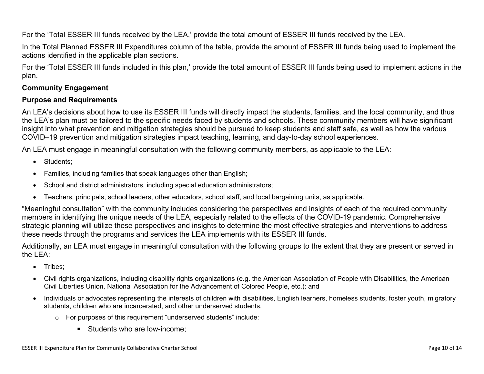For the 'Total ESSER III funds received by the LEA,' provide the total amount of ESSER III funds received by the LEA.

In the Total Planned ESSER III Expenditures column of the table, provide the amount of ESSER III funds being used to implement the actions identified in the applicable plan sections.

For the 'Total ESSER III funds included in this plan,' provide the total amount of ESSER III funds being used to implement actions in the plan.

### <span id="page-9-0"></span>**Community Engagement**

#### **Purpose and Requirements**

An LEA's decisions about how to use its ESSER III funds will directly impact the students, families, and the local community, and thus the LEA's plan must be tailored to the specific needs faced by students and schools. These community members will have significant insight into what prevention and mitigation strategies should be pursued to keep students and staff safe, as well as how the various COVID–19 prevention and mitigation strategies impact teaching, learning, and day-to-day school experiences.

An LEA must engage in meaningful consultation with the following community members, as applicable to the LEA:

- Students:
- Families, including families that speak languages other than English;
- School and district administrators, including special education administrators;
- Teachers, principals, school leaders, other educators, school staff, and local bargaining units, as applicable.

"Meaningful consultation" with the community includes considering the perspectives and insights of each of the required community members in identifying the unique needs of the LEA, especially related to the effects of the COVID-19 pandemic. Comprehensive strategic planning will utilize these perspectives and insights to determine the most effective strategies and interventions to address these needs through the programs and services the LEA implements with its ESSER III funds.

Additionally, an LEA must engage in meaningful consultation with the following groups to the extent that they are present or served in the LEA:

- Tribes;
- Civil rights organizations, including disability rights organizations (e.g. the American Association of People with Disabilities, the American Civil Liberties Union, National Association for the Advancement of Colored People, etc.); and
- Individuals or advocates representing the interests of children with disabilities, English learners, homeless students, foster youth, migratory students, children who are incarcerated, and other underserved students.
	- o For purposes of this requirement "underserved students" include:
		- **Students who are low-income:**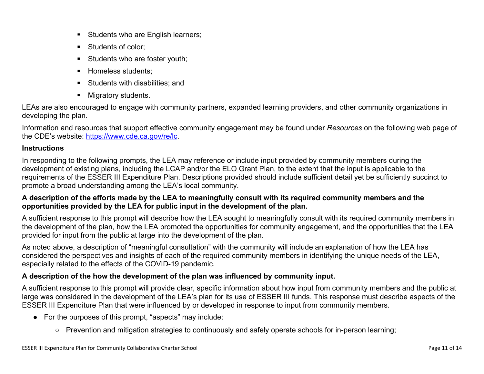- Students who are English learners;
- Students of color:
- Students who are foster youth;
- Homeless students;
- **Students with disabilities: and**
- **Migratory students.**

LEAs are also encouraged to engage with community partners, expanded learning providers, and other community organizations in developing the plan.

Information and resources that support effective community engagement may be found under *Resources* on the following web page of the CDE's website: <https://www.cde.ca.gov/re/lc>.

### **Instructions**

In responding to the following prompts, the LEA may reference or include input provided by community members during the development of existing plans, including the LCAP and/or the ELO Grant Plan, to the extent that the input is applicable to the requirements of the ESSER III Expenditure Plan. Descriptions provided should include sufficient detail yet be sufficiently succinct to promote a broad understanding among the LEA's local community.

### A description of the efforts made by the LEA to meaningfully consult with its required community members and the **opportunities provided by the LEA for public input in the development of the plan.**

A sufficient response to this prompt will describe how the LEA sought to meaningfully consult with its required community members in the development of the plan, how the LEA promoted the opportunities for community engagement, and the opportunities that the LEA provided for input from the public at large into the development of the plan.

As noted above, a description of "meaningful consultation" with the community will include an explanation of how the LEA has considered the perspectives and insights of each of the required community members in identifying the unique needs of the LEA, especially related to the effects of the COVID-19 pandemic.

## **A description of the how the development of the plan was influenced by community input.**

A sufficient response to this prompt will provide clear, specific information about how input from community members and the public at large was considered in the development of the LEA's plan for its use of ESSER III funds. This response must describe aspects of the ESSER III Expenditure Plan that were influenced by or developed in response to input from community members.

- For the purposes of this prompt, "aspects" may include:
	- Prevention and mitigation strategies to continuously and safely operate schools for in-person learning;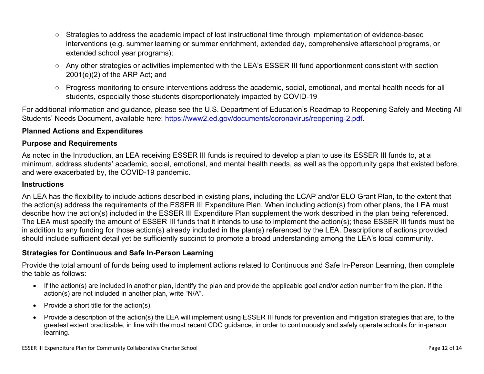- Strategies to address the academic impact of lost instructional time through implementation of evidence-based interventions (e.g. summer learning or summer enrichment, extended day, comprehensive afterschool programs, or extended school year programs);
- Any other strategies or activities implemented with the LEA's ESSER III fund apportionment consistent with section 2001(e)(2) of the ARP Act; and
- Progress monitoring to ensure interventions address the academic, social, emotional, and mental health needs for all students, especially those students disproportionately impacted by COVID-19

For additional information and guidance, please see the U.S. Department of Education's Roadmap to Reopening Safely and Meeting All Students' Needs Document, available here: [https://www2.ed.gov/documents/coronavirus/reopening-2.pdf.](https://www2.ed.gov/documents/coronavirus/reopening-2.pdf)

### <span id="page-11-0"></span>**Planned Actions and Expenditures**

#### **Purpose and Requirements**

As noted in the Introduction, an LEA receiving ESSER III funds is required to develop a plan to use its ESSER III funds to, at a minimum, address students' academic, social, emotional, and mental health needs, as well as the opportunity gaps that existed before, and were exacerbated by, the COVID-19 pandemic.

#### **Instructions**

An LEA has the flexibility to include actions described in existing plans, including the LCAP and/or ELO Grant Plan, to the extent that the action(s) address the requirements of the ESSER III Expenditure Plan. When including action(s) from other plans, the LEA must describe how the action(s) included in the ESSER III Expenditure Plan supplement the work described in the plan being referenced. The LEA must specify the amount of ESSER III funds that it intends to use to implement the action(s); these ESSER III funds must be in addition to any funding for those action(s) already included in the plan(s) referenced by the LEA. Descriptions of actions provided should include sufficient detail yet be sufficiently succinct to promote a broad understanding among the LEA's local community.

#### <span id="page-11-1"></span>**Strategies for Continuous and Safe In-Person Learning**

Provide the total amount of funds being used to implement actions related to Continuous and Safe In-Person Learning, then complete the table as follows:

- If the action(s) are included in another plan, identify the plan and provide the applicable goal and/or action number from the plan. If the action(s) are not included in another plan, write "N/A".
- Provide a short title for the  $action(s)$ .
- Provide a description of the action(s) the LEA will implement using ESSER III funds for prevention and mitigation strategies that are, to the greatest extent practicable, in line with the most recent CDC guidance, in order to continuously and safely operate schools for in-person learning.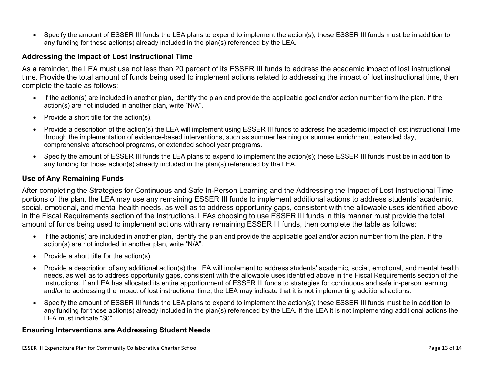Specify the amount of ESSER III funds the LEA plans to expend to implement the action(s); these ESSER III funds must be in addition to any funding for those action(s) already included in the plan(s) referenced by the LEA.

#### <span id="page-12-0"></span>**Addressing the Impact of Lost Instructional Time**

As a reminder, the LEA must use not less than 20 percent of its ESSER III funds to address the academic impact of lost instructional time. Provide the total amount of funds being used to implement actions related to addressing the impact of lost instructional time, then complete the table as follows:

- If the action(s) are included in another plan, identify the plan and provide the applicable goal and/or action number from the plan. If the action(s) are not included in another plan, write "N/A".
- Provide a short title for the  $action(s)$ .
- Provide a description of the action(s) the LEA will implement using ESSER III funds to address the academic impact of lost instructional time through the implementation of evidence-based interventions, such as summer learning or summer enrichment, extended day, comprehensive afterschool programs, or extended school year programs.
- Specify the amount of ESSER III funds the LEA plans to expend to implement the action(s); these ESSER III funds must be in addition to any funding for those action(s) already included in the plan(s) referenced by the LEA.

#### <span id="page-12-1"></span>**Use of Any Remaining Funds**

After completing the Strategies for Continuous and Safe In-Person Learning and the Addressing the Impact of Lost Instructional Time portions of the plan, the LEA may use any remaining ESSER III funds to implement additional actions to address students' academic, social, emotional, and mental health needs, as well as to address opportunity gaps, consistent with the allowable uses identified above in the Fiscal Requirements section of the Instructions. LEAs choosing to use ESSER III funds in this manner must provide the total amount of funds being used to implement actions with any remaining ESSER III funds, then complete the table as follows:

- If the action(s) are included in another plan, identify the plan and provide the applicable goal and/or action number from the plan. If the action(s) are not included in another plan, write "N/A".
- Provide a short title for the  $action(s)$ .
- Provide a description of any additional action(s) the LEA will implement to address students' academic, social, emotional, and mental health needs, as well as to address opportunity gaps, consistent with the allowable uses identified above in the Fiscal Requirements section of the Instructions. If an LEA has allocated its entire apportionment of ESSER III funds to strategies for continuous and safe in-person learning and/or to addressing the impact of lost instructional time, the LEA may indicate that it is not implementing additional actions.
- Specify the amount of ESSER III funds the LEA plans to expend to implement the action(s); these ESSER III funds must be in addition to any funding for those action(s) already included in the plan(s) referenced by the LEA. If the LEA it is not implementing additional actions the LEA must indicate "\$0".

#### <span id="page-12-2"></span>**Ensuring Interventions are Addressing Student Needs**